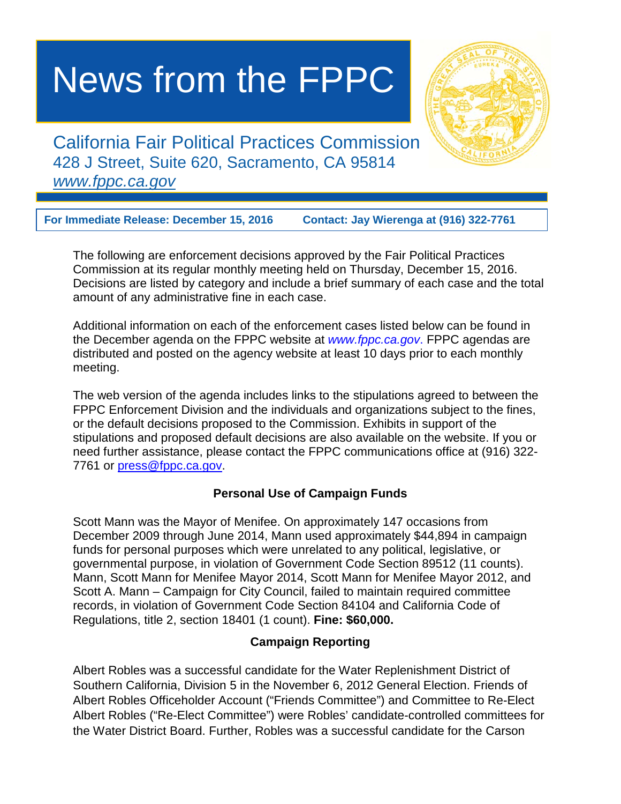# News from the FPPC

California Fair Political Practices Commission 428 J Street, Suite 620, Sacramento, CA 95814 *www.fppc.ca.gov*

**For Immediate Release: December 15, 2016 Contact: Jay Wierenga at (916) 322-7761**

The following are enforcement decisions approved by the Fair Political Practices Commission at its regular monthly meeting held on Thursday, December 15, 2016. Decisions are listed by category and include a brief summary of each case and the total amount of any administrative fine in each case.

Additional information on each of the enforcement cases listed below can be found in the December agenda on the FPPC website at *[www.fppc.ca.gov](http://www.fppc.ca.gov/)*. FPPC agendas are distributed and posted on the agency website at least 10 days prior to each monthly meeting.

The web version of the agenda includes links to the stipulations agreed to between the FPPC Enforcement Division and the individuals and organizations subject to the fines, or the default decisions proposed to the Commission. Exhibits in support of the stipulations and proposed default decisions are also available on the website. If you or need further assistance, please contact the FPPC communications office at (916) 322- 7761 or press@fppc.ca.gov.

# **Personal Use of Campaign Funds**

Scott Mann was the Mayor of Menifee. On approximately 147 occasions from December 2009 through June 2014, Mann used approximately \$44,894 in campaign funds for personal purposes which were unrelated to any political, legislative, or governmental purpose, in violation of Government Code Section 89512 (11 counts). Mann, Scott Mann for Menifee Mayor 2014, Scott Mann for Menifee Mayor 2012, and Scott A. Mann – Campaign for City Council, failed to maintain required committee records, in violation of Government Code Section 84104 and California Code of Regulations, title 2, section 18401 (1 count). **Fine: \$60,000.**

## **Campaign Reporting**

Albert Robles was a successful candidate for the Water Replenishment District of Southern California, Division 5 in the November 6, 2012 General Election. Friends of Albert Robles Officeholder Account ("Friends Committee") and Committee to Re-Elect Albert Robles ("Re-Elect Committee") were Robles' candidate-controlled committees for the Water District Board. Further, Robles was a successful candidate for the Carson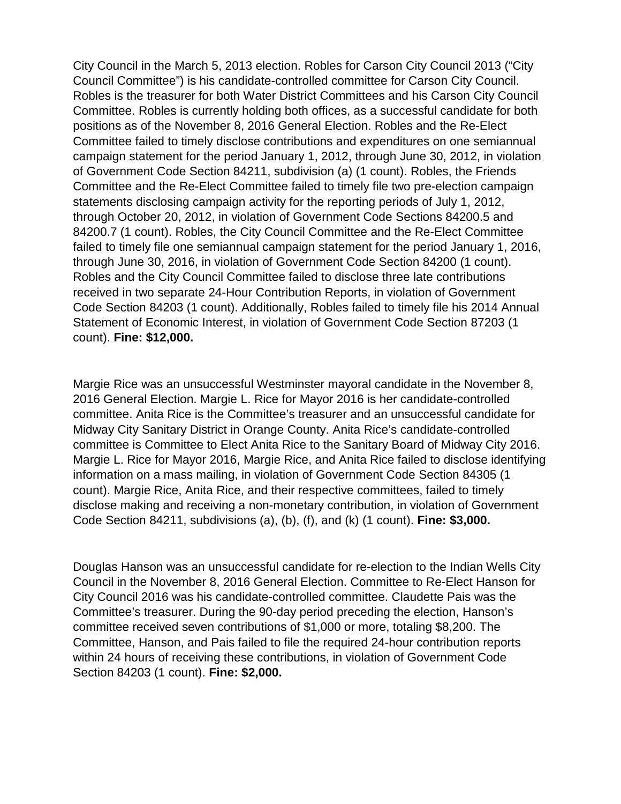City Council in the March 5, 2013 election. Robles for Carson City Council 2013 ("City Council Committee") is his candidate-controlled committee for Carson City Council. Robles is the treasurer for both Water District Committees and his Carson City Council Committee. Robles is currently holding both offices, as a successful candidate for both positions as of the November 8, 2016 General Election. Robles and the Re-Elect Committee failed to timely disclose contributions and expenditures on one semiannual campaign statement for the period January 1, 2012, through June 30, 2012, in violation of Government Code Section 84211, subdivision (a) (1 count). Robles, the Friends Committee and the Re-Elect Committee failed to timely file two pre-election campaign statements disclosing campaign activity for the reporting periods of July 1, 2012, through October 20, 2012, in violation of Government Code Sections 84200.5 and 84200.7 (1 count). Robles, the City Council Committee and the Re-Elect Committee failed to timely file one semiannual campaign statement for the period January 1, 2016, through June 30, 2016, in violation of Government Code Section 84200 (1 count). Robles and the City Council Committee failed to disclose three late contributions received in two separate 24-Hour Contribution Reports, in violation of Government Code Section 84203 (1 count). Additionally, Robles failed to timely file his 2014 Annual Statement of Economic Interest, in violation of Government Code Section 87203 (1 count). **Fine: \$12,000.**

Margie Rice was an unsuccessful Westminster mayoral candidate in the November 8, 2016 General Election. Margie L. Rice for Mayor 2016 is her candidate-controlled committee. Anita Rice is the Committee's treasurer and an unsuccessful candidate for Midway City Sanitary District in Orange County. Anita Rice's candidate-controlled committee is Committee to Elect Anita Rice to the Sanitary Board of Midway City 2016. Margie L. Rice for Mayor 2016, Margie Rice, and Anita Rice failed to disclose identifying information on a mass mailing, in violation of Government Code Section 84305 (1 count). Margie Rice, Anita Rice, and their respective committees, failed to timely disclose making and receiving a non-monetary contribution, in violation of Government Code Section 84211, subdivisions (a), (b), (f), and (k) (1 count). **Fine: \$3,000.**

Douglas Hanson was an unsuccessful candidate for re-election to the Indian Wells City Council in the November 8, 2016 General Election. Committee to Re-Elect Hanson for City Council 2016 was his candidate-controlled committee. Claudette Pais was the Committee's treasurer. During the 90-day period preceding the election, Hanson's committee received seven contributions of \$1,000 or more, totaling \$8,200. The Committee, Hanson, and Pais failed to file the required 24-hour contribution reports within 24 hours of receiving these contributions, in violation of Government Code Section 84203 (1 count). **Fine: \$2,000.**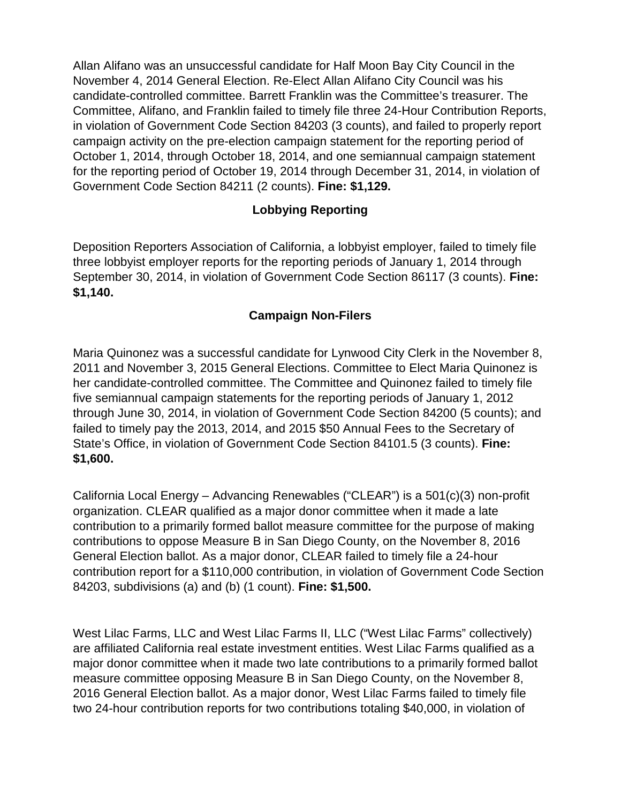Allan Alifano was an unsuccessful candidate for Half Moon Bay City Council in the November 4, 2014 General Election. Re-Elect Allan Alifano City Council was his candidate-controlled committee. Barrett Franklin was the Committee's treasurer. The Committee, Alifano, and Franklin failed to timely file three 24-Hour Contribution Reports, in violation of Government Code Section 84203 (3 counts), and failed to properly report campaign activity on the pre-election campaign statement for the reporting period of October 1, 2014, through October 18, 2014, and one semiannual campaign statement for the reporting period of October 19, 2014 through December 31, 2014, in violation of Government Code Section 84211 (2 counts). **Fine: \$1,129.**

# **Lobbying Reporting**

Deposition Reporters Association of California, a lobbyist employer, failed to timely file three lobbyist employer reports for the reporting periods of January 1, 2014 through September 30, 2014, in violation of Government Code Section 86117 (3 counts). **Fine: \$1,140.** 

## **Campaign Non-Filers**

Maria Quinonez was a successful candidate for Lynwood City Clerk in the November 8, 2011 and November 3, 2015 General Elections. Committee to Elect Maria Quinonez is her candidate-controlled committee. The Committee and Quinonez failed to timely file five semiannual campaign statements for the reporting periods of January 1, 2012 through June 30, 2014, in violation of Government Code Section 84200 (5 counts); and failed to timely pay the 2013, 2014, and 2015 \$50 Annual Fees to the Secretary of State's Office, in violation of Government Code Section 84101.5 (3 counts). **Fine: \$1,600.**

California Local Energy – Advancing Renewables ("CLEAR") is a 501(c)(3) non-profit organization. CLEAR qualified as a major donor committee when it made a late contribution to a primarily formed ballot measure committee for the purpose of making contributions to oppose Measure B in San Diego County, on the November 8, 2016 General Election ballot. As a major donor, CLEAR failed to timely file a 24-hour contribution report for a \$110,000 contribution, in violation of Government Code Section 84203, subdivisions (a) and (b) (1 count). **Fine: \$1,500.**

West Lilac Farms, LLC and West Lilac Farms II, LLC ("West Lilac Farms" collectively) are affiliated California real estate investment entities. West Lilac Farms qualified as a major donor committee when it made two late contributions to a primarily formed ballot measure committee opposing Measure B in San Diego County, on the November 8, 2016 General Election ballot. As a major donor, West Lilac Farms failed to timely file two 24-hour contribution reports for two contributions totaling \$40,000, in violation of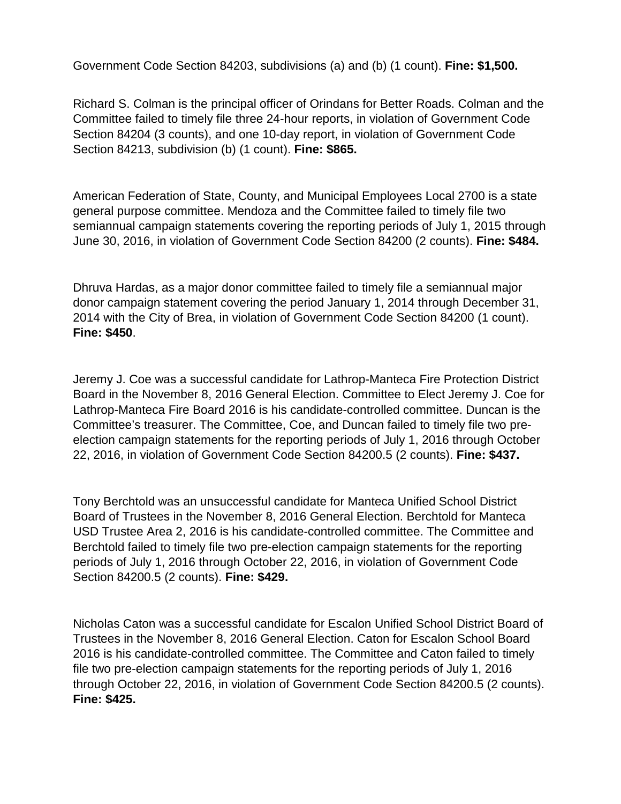Government Code Section 84203, subdivisions (a) and (b) (1 count). **Fine: \$1,500.**

Richard S. Colman is the principal officer of Orindans for Better Roads. Colman and the Committee failed to timely file three 24-hour reports, in violation of Government Code Section 84204 (3 counts), and one 10-day report, in violation of Government Code Section 84213, subdivision (b) (1 count). **Fine: \$865.**

American Federation of State, County, and Municipal Employees Local 2700 is a state general purpose committee. Mendoza and the Committee failed to timely file two semiannual campaign statements covering the reporting periods of July 1, 2015 through June 30, 2016, in violation of Government Code Section 84200 (2 counts). **Fine: \$484.** 

Dhruva Hardas, as a major donor committee failed to timely file a semiannual major donor campaign statement covering the period January 1, 2014 through December 31, 2014 with the City of Brea, in violation of Government Code Section 84200 (1 count). **Fine: \$450**.

Jeremy J. Coe was a successful candidate for Lathrop-Manteca Fire Protection District Board in the November 8, 2016 General Election. Committee to Elect Jeremy J. Coe for Lathrop-Manteca Fire Board 2016 is his candidate-controlled committee. Duncan is the Committee's treasurer. The Committee, Coe, and Duncan failed to timely file two preelection campaign statements for the reporting periods of July 1, 2016 through October 22, 2016, in violation of Government Code Section 84200.5 (2 counts). **Fine: \$437.**

Tony Berchtold was an unsuccessful candidate for Manteca Unified School District Board of Trustees in the November 8, 2016 General Election. Berchtold for Manteca USD Trustee Area 2, 2016 is his candidate-controlled committee. The Committee and Berchtold failed to timely file two pre-election campaign statements for the reporting periods of July 1, 2016 through October 22, 2016, in violation of Government Code Section 84200.5 (2 counts). **Fine: \$429.**

Nicholas Caton was a successful candidate for Escalon Unified School District Board of Trustees in the November 8, 2016 General Election. Caton for Escalon School Board 2016 is his candidate-controlled committee. The Committee and Caton failed to timely file two pre-election campaign statements for the reporting periods of July 1, 2016 through October 22, 2016, in violation of Government Code Section 84200.5 (2 counts). **Fine: \$425.**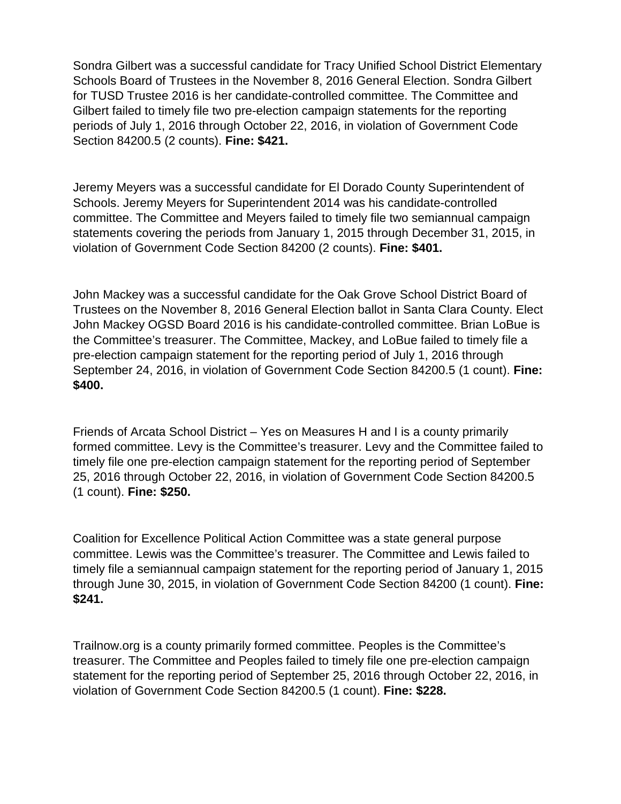Sondra Gilbert was a successful candidate for Tracy Unified School District Elementary Schools Board of Trustees in the November 8, 2016 General Election. Sondra Gilbert for TUSD Trustee 2016 is her candidate-controlled committee. The Committee and Gilbert failed to timely file two pre-election campaign statements for the reporting periods of July 1, 2016 through October 22, 2016, in violation of Government Code Section 84200.5 (2 counts). **Fine: \$421.**

Jeremy Meyers was a successful candidate for El Dorado County Superintendent of Schools. Jeremy Meyers for Superintendent 2014 was his candidate-controlled committee. The Committee and Meyers failed to timely file two semiannual campaign statements covering the periods from January 1, 2015 through December 31, 2015, in violation of Government Code Section 84200 (2 counts). **Fine: \$401.**

John Mackey was a successful candidate for the Oak Grove School District Board of Trustees on the November 8, 2016 General Election ballot in Santa Clara County. Elect John Mackey OGSD Board 2016 is his candidate-controlled committee. Brian LoBue is the Committee's treasurer. The Committee, Mackey, and LoBue failed to timely file a pre-election campaign statement for the reporting period of July 1, 2016 through September 24, 2016, in violation of Government Code Section 84200.5 (1 count). **Fine: \$400.**

Friends of Arcata School District – Yes on Measures H and I is a county primarily formed committee. Levy is the Committee's treasurer. Levy and the Committee failed to timely file one pre-election campaign statement for the reporting period of September 25, 2016 through October 22, 2016, in violation of Government Code Section 84200.5 (1 count). **Fine: \$250.**

Coalition for Excellence Political Action Committee was a state general purpose committee. Lewis was the Committee's treasurer. The Committee and Lewis failed to timely file a semiannual campaign statement for the reporting period of January 1, 2015 through June 30, 2015, in violation of Government Code Section 84200 (1 count). **Fine: \$241.**

Trailnow.org is a county primarily formed committee. Peoples is the Committee's treasurer. The Committee and Peoples failed to timely file one pre-election campaign statement for the reporting period of September 25, 2016 through October 22, 2016, in violation of Government Code Section 84200.5 (1 count). **Fine: \$228.**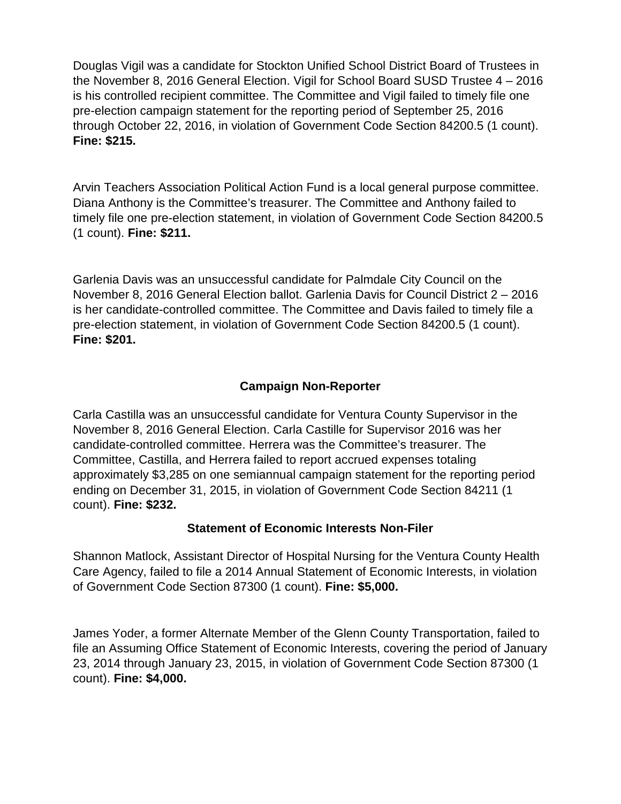Douglas Vigil was a candidate for Stockton Unified School District Board of Trustees in the November 8, 2016 General Election. Vigil for School Board SUSD Trustee 4 – 2016 is his controlled recipient committee. The Committee and Vigil failed to timely file one pre-election campaign statement for the reporting period of September 25, 2016 through October 22, 2016, in violation of Government Code Section 84200.5 (1 count). **Fine: \$215.**

Arvin Teachers Association Political Action Fund is a local general purpose committee. Diana Anthony is the Committee's treasurer. The Committee and Anthony failed to timely file one pre-election statement, in violation of Government Code Section 84200.5 (1 count). **Fine: \$211.**

Garlenia Davis was an unsuccessful candidate for Palmdale City Council on the November 8, 2016 General Election ballot. Garlenia Davis for Council District 2 – 2016 is her candidate-controlled committee. The Committee and Davis failed to timely file a pre-election statement, in violation of Government Code Section 84200.5 (1 count). **Fine: \$201.**

#### **Campaign Non-Reporter**

Carla Castilla was an unsuccessful candidate for Ventura County Supervisor in the November 8, 2016 General Election. Carla Castille for Supervisor 2016 was her candidate-controlled committee. Herrera was the Committee's treasurer. The Committee, Castilla, and Herrera failed to report accrued expenses totaling approximately \$3,285 on one semiannual campaign statement for the reporting period ending on December 31, 2015, in violation of Government Code Section 84211 (1 count). **Fine: \$232.**

#### **Statement of Economic Interests Non-Filer**

Shannon Matlock, Assistant Director of Hospital Nursing for the Ventura County Health Care Agency, failed to file a 2014 Annual Statement of Economic Interests, in violation of Government Code Section 87300 (1 count). **Fine: \$5,000.**

James Yoder, a former Alternate Member of the Glenn County Transportation, failed to file an Assuming Office Statement of Economic Interests, covering the period of January 23, 2014 through January 23, 2015, in violation of Government Code Section 87300 (1 count). **Fine: \$4,000.**